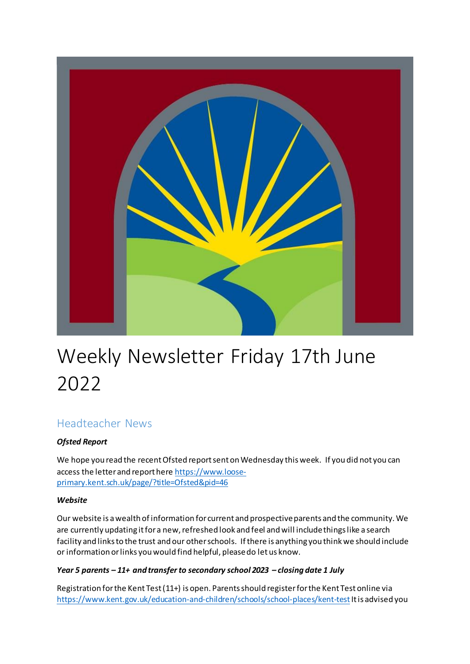

# Weekly Newsletter Friday 17th June 2022

# Headteacher News

## *Ofsted Report*

We hope you read the recent Ofsted report sent on Wednesday this week. If you did not you can access the letter and report her[e https://www.loose](https://www.loose-primary.kent.sch.uk/page/?title=Ofsted&pid=46)[primary.kent.sch.uk/page/?title=Ofsted&pid=46](https://www.loose-primary.kent.sch.uk/page/?title=Ofsted&pid=46)

## *Website*

Our website is a wealth of information for current and prospective parents and the community. We are currently updating it for a new, refreshed look and feel and will include things like a search facility and links to the trust and our other schools. If there is anything you think we should include or information or links you would find helpful, please do let us know.

## *Year 5 parents – 11+ and transfer to secondary school 2023 – closing date 1 July*

Registration for the Kent Test (11+) is open. Parents should register for the Kent Test online via <https://www.kent.gov.uk/education-and-children/schools/school-places/kent-test>It is advised you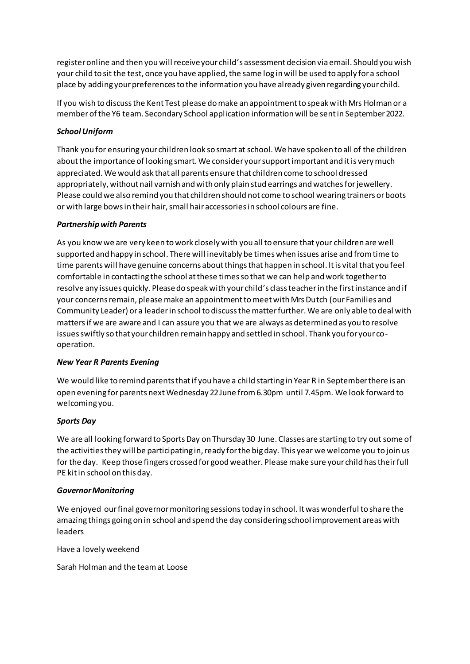register online and then you will receive your child's assessment decision via email. Should you wish your child to sit the test, once you have applied, the same log in will be used to apply for a school place by adding your preferences to the information you have already given regarding your child.

If you wish to discuss the Kent Test please do make an appointment to speak with Mrs Holman or a member of the Y6 team. Secondary School application information will be sent in September 2022.

#### *School Uniform*

Thank you for ensuring your children look so smart at school. We have spoken to all of the children about the importance of looking smart. We consider your support important and it is very much appreciated. We would ask that all parents ensure that children come to school dressed appropriately, without nail varnish and with only plain stud earrings and watches for jewellery. Please could we also remind you that children should not come to school wearing trainers or boots or with large bows in their hair, small hair accessories in school colours are fine.

#### *Partnership with Parents*

As you know we are very keen to work closely with you all to ensure that your children are well supported and happy in school. There will inevitably be times when issues arise and from time to time parents will have genuine concerns about things that happen in school. It is vital that you feel comfortable in contacting the school at these times so that we can help and work together to resolve any issues quickly. Please do speak with your child's class teacher in the first instance and if your concerns remain, please make an appointment to meet with Mrs Dutch (our Families and Community Leader) or a leader in school to discuss the matter further. We are only able to deal with matters if we are aware and I can assure you that we are always as determined as you to resolve issues swiftly so that your children remain happy and settled in school. Thank you for your cooperation.

#### *New Year R Parents Evening*

We would like to remind parents that if you have a child starting in Year R in September there is an open evening for parents next Wednesday 22 June from 6.30pm until 7.45pm. We look forward to welcoming you.

#### *Sports Day*

We are all looking forward to Sports Day on Thursday 30 June. Classes are starting to try out some of the activities they will be participating in, ready for the big day. This year we welcome you to join us for the day. Keep those fingers crossed for good weather. Please make sure your child has their full PE kit in school on this day.

#### *Governor Monitoring*

We enjoyed our final governor monitoring sessions today in school. It was wonderful to share the amazing things going on in school and spend the day considering school improvement areas with leaders

Have a lovely weekend

Sarah Holman and the team at Loose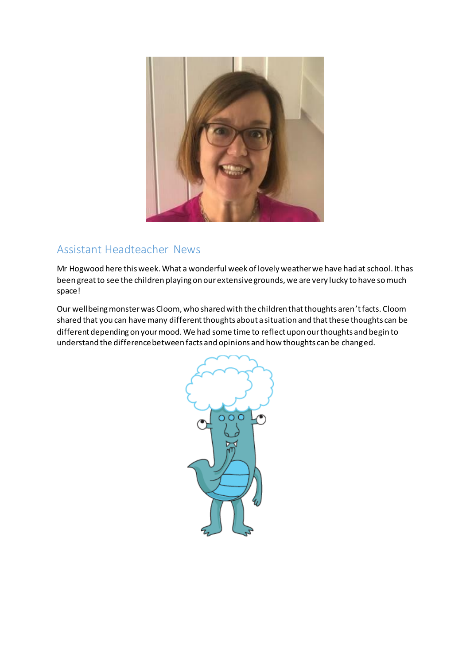

# Assistant Headteacher News

Mr Hogwood here this week. What a wonderful week of lovely weather we have had at school. It has been great to see the children playing on our extensive grounds, we are very lucky to have so much space!

Our wellbeing monster was Cloom, who shared with the children that thoughts aren't facts. Cloom shared that you can have many different thoughts about a situation and that these thoughts can be different depending on your mood. We had some time to reflect upon our thoughts and begin to understand the difference between facts and opinions and how thoughts can be changed.

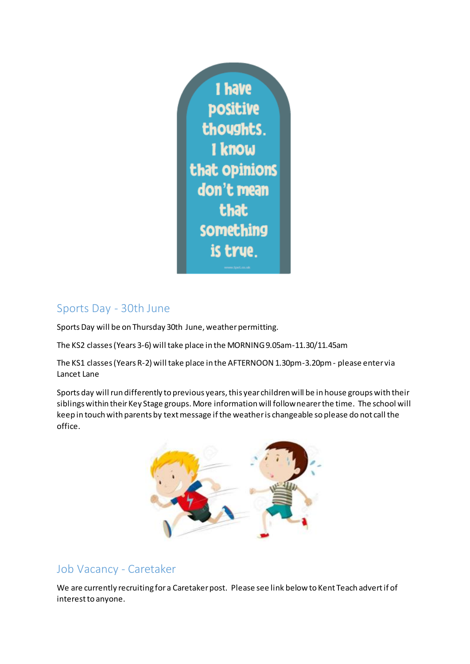

# Sports Day - 30th June

Sports Day will be on Thursday 30th June, weather permitting.

The KS2 classes (Years 3-6) will take place in the MORNING 9.05am-11.30/11.45am

The KS1 classes (Years R-2) will take place in the AFTERNOON 1.30pm-3.20pm - please enter via Lancet Lane

Sports day will run differently to previous years, this year children will be in house groups with their siblings within their Key Stage groups. More information will follow nearer the time. The school will keep in touch with parents by text message if the weather is changeable so please do not call the office.



# Job Vacancy - Caretaker

We are currently recruiting for a Caretaker post. Please see link below to Kent Teach advert if of interest to anyone.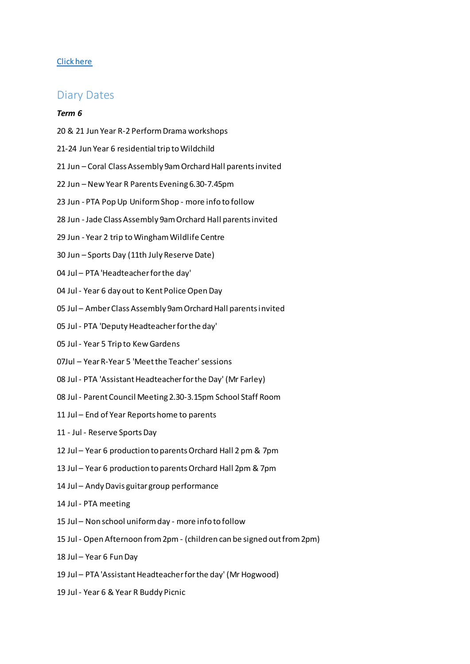#### [Click here](https://www.kent-teach.com/Recruitment/Vacancy/VacancyDetails.aspx?VacancyId=103689)

### Diary Dates

#### *Term 6*

- 20 & 21 Jun Year R-2 Perform Drama workshops
- 21-24 Jun Year 6 residential trip to Wildchild
- 21 Jun Coral Class Assembly 9am Orchard Hall parents invited
- 22 Jun New Year R Parents Evening 6.30-7.45pm
- 23 Jun PTA Pop Up Uniform Shop more info to follow
- 28 Jun Jade Class Assembly 9am Orchard Hall parents invited
- 29 Jun Year 2 trip to Wingham Wildlife Centre
- 30 Jun Sports Day (11th July Reserve Date)
- 04 Jul PTA 'Headteacher for the day'
- 04 Jul Year 6 day out to Kent Police Open Day
- 05 Jul Amber Class Assembly 9am Orchard Hall parents invited
- 05 Jul PTA 'Deputy Headteacher for the day'
- 05 Jul Year 5 Trip to Kew Gardens
- 07Jul Year R-Year 5 'Meet the Teacher' sessions
- 08 Jul PTA 'Assistant Headteacher for the Day' (Mr Farley)
- 08 Jul Parent Council Meeting 2.30-3.15pm School Staff Room
- 11 Jul End of Year Reports home to parents
- 11 Jul Reserve Sports Day
- 12 Jul Year 6 production to parents Orchard Hall 2 pm & 7pm
- 13 Jul Year 6 production to parents Orchard Hall 2pm & 7pm
- 14 Jul Andy Davis guitar group performance
- 14 Jul PTA meeting
- 15 Jul Non school uniform day more info to follow
- 15 Jul Open Afternoon from 2pm (children can be signed out from 2pm)
- 18 Jul Year 6 Fun Day
- 19 Jul PTA 'Assistant Headteacher for the day' (Mr Hogwood)
- 19 Jul Year 6 & Year R Buddy Picnic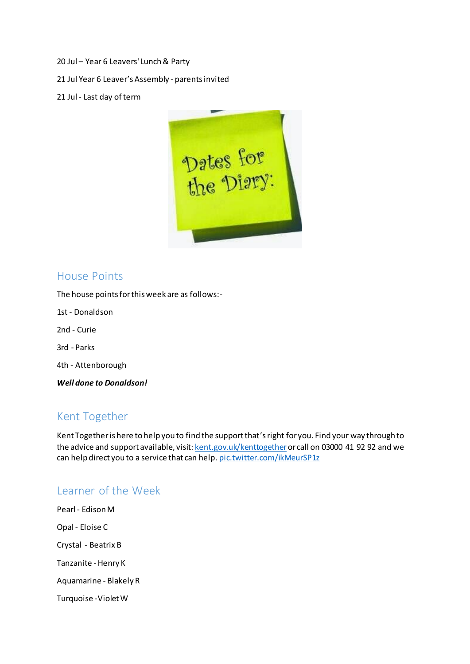- 20 Jul Year 6 Leavers' Lunch & Party
- 21 Jul Year 6 Leaver's Assembly parents invited
- 21 Jul Last day of term



## House Points

The house points for this week are as follows:-

1st - Donaldson

2nd - Curie

3rd - Parks

4th - Attenborough

*Well done to Donaldson!*

## Kent Together

Kent Together is here to help you to find the support that's right for you. Find your way through to the advice and support available, visit[: kent.gov.uk/kenttogether](https://t.co/sfJcyYpkRA) or call on 03000 41 92 92 and we can help direct you to a service that can help[. pic.twitter.com/ikMeurSP1z](https://t.co/ikMeurSP1z)

## Learner of the Week

Pearl - Edison M Opal - Eloise C Crystal - Beatrix B Tanzanite - Henry K Aquamarine - Blakely R Turquoise -Violet W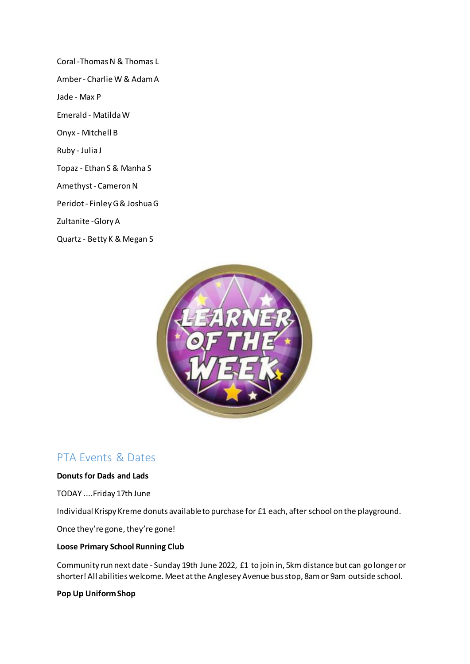Coral -Thomas N & Thomas L Amber - Charlie W & Adam A Jade - Max P Emerald - Matilda W Onyx - Mitchell B Ruby - Julia J Topaz - Ethan S & Manha S Amethyst - Cameron N Peridot - Finley G & Joshua G Zultanite -Glory A Quartz - Betty K & Megan S



## PTA Events & Dates

#### **Donuts for Dads and Lads**

TODAY ....Friday 17th June

Individual Krispy Kreme donuts available to purchase for £1 each, after school on the playground.

Once they're gone, they're gone!

#### **Loose Primary School Running Club**

Community run next date - Sunday 19th June 2022, £1 to join in, 5km distance but can go longer or shorter! All abilities welcome. Meet at the Anglesey Avenue bus stop, 8am or 9am outside school.

#### **Pop Up Uniform Shop**